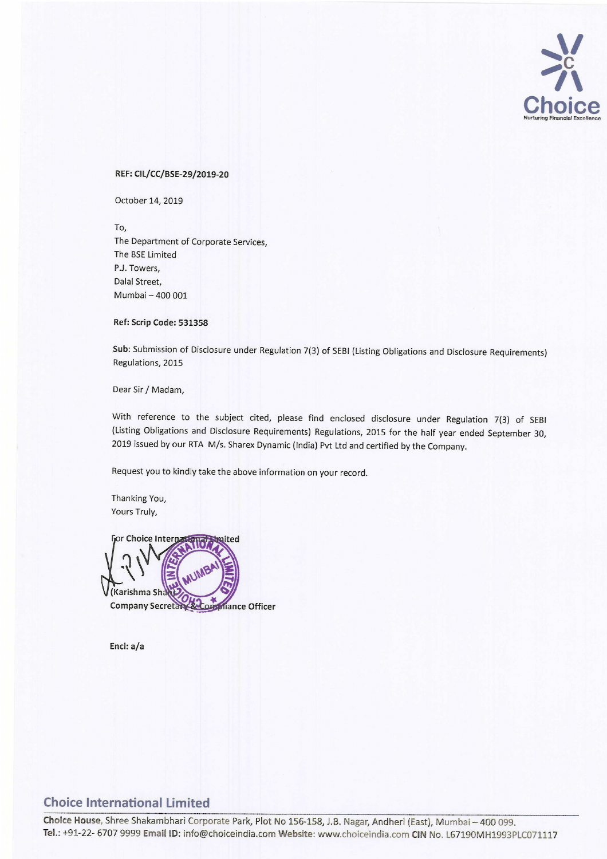

#### REF: CIL/CC/BSE-29/2019-20

October 14, 2019

To, The Department of Corporate Services, The BSE Limited P.J. Towers, Dalal Street, Mumbai — 400 001

#### Ref: Scrip Code: 531358

Sub: Submission of Disclosure under Regulation 7(3) of SEBI (Listing Obligations and Disclosure Requirements) Regulations, 2015

Dear Sir/ Madam,

With reference to the subject cited, please find enclosed disclosure under Regulation 7(3) of SEBI (Listing Obligations and Disclosure Requirements) Regulations, <sup>2015</sup> for the half year ended September 30, <sup>2019</sup> issued by our RTA M/s. Sharex Dynamic (India) Pvt Ltd and certified by the Company.

Request you to kindly take the above information on your record.

Thanking You, Yours Truly,

r Choice Inter ited 3(Karishma Sh **Company Secreta** iance Officer

Encl: a/a

### Choice International Limited